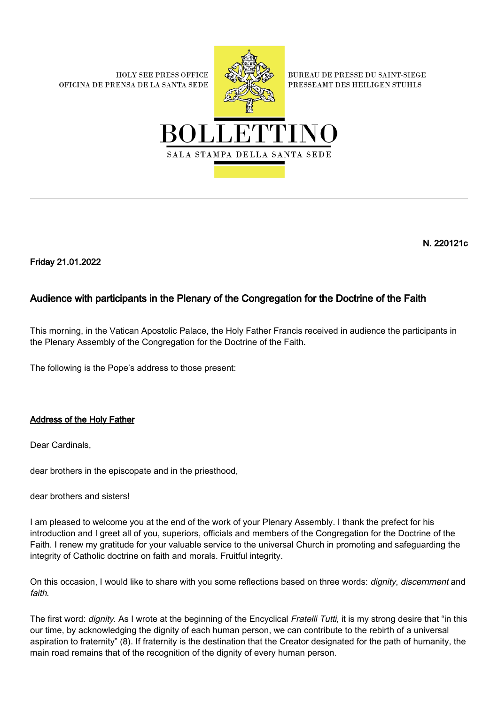**HOLY SEE PRESS OFFICE** OFICINA DE PRENSA DE LA SANTA SEDE



**BUREAU DE PRESSE DU SAINT-SIEGE** PRESSEAMT DES HEILIGEN STUHLS



N. 220121c

Friday 21.01.2022

## Audience with participants in the Plenary of the Congregation for the Doctrine of the Faith

This morning, in the Vatican Apostolic Palace, the Holy Father Francis received in audience the participants in the Plenary Assembly of the Congregation for the Doctrine of the Faith.

The following is the Pope's address to those present:

## Address of the Holy Father

Dear Cardinals,

dear brothers in the episcopate and in the priesthood,

dear brothers and sisters!

I am pleased to welcome you at the end of the work of your Plenary Assembly. I thank the prefect for his introduction and I greet all of you, superiors, officials and members of the Congregation for the Doctrine of the Faith. I renew my gratitude for your valuable service to the universal Church in promoting and safeguarding the integrity of Catholic doctrine on faith and morals. Fruitful integrity.

On this occasion, I would like to share with you some reflections based on three words: *dignity, discernment* and faith.

The first word: *dignity*. As I wrote at the beginning of the Encyclical Fratelli Tutti, it is my strong desire that "in this our time, by acknowledging the dignity of each human person, we can contribute to the rebirth of a universal aspiration to fraternity" (8). If fraternity is the destination that the Creator designated for the path of humanity, the main road remains that of the recognition of the dignity of every human person.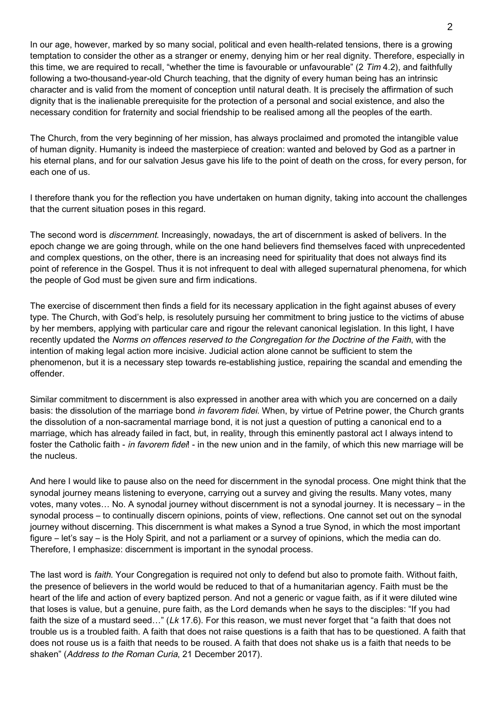In our age, however, marked by so many social, political and even health-related tensions, there is a growing temptation to consider the other as a stranger or enemy, denying him or her real dignity. Therefore, especially in this time, we are required to recall, "whether the time is favourable or unfavourable" (2  $Tim 4.2$ ), and faithfully following a two-thousand-year-old Church teaching, that the dignity of every human being has an intrinsic character and is valid from the moment of conception until natural death. It is precisely the affirmation of such dignity that is the inalienable prerequisite for the protection of a personal and social existence, and also the necessary condition for fraternity and social friendship to be realised among all the peoples of the earth.

The Church, from the very beginning of her mission, has always proclaimed and promoted the intangible value of human dignity. Humanity is indeed the masterpiece of creation: wanted and beloved by God as a partner in his eternal plans, and for our salvation Jesus gave his life to the point of death on the cross, for every person, for each one of us.

I therefore thank you for the reflection you have undertaken on human dignity, taking into account the challenges that the current situation poses in this regard.

The second word is discernment. Increasingly, nowadays, the art of discernment is asked of belivers. In the epoch change we are going through, while on the one hand believers find themselves faced with unprecedented and complex questions, on the other, there is an increasing need for spirituality that does not always find its point of reference in the Gospel. Thus it is not infrequent to deal with alleged supernatural phenomena, for which the people of God must be given sure and firm indications.

The exercise of discernment then finds a field for its necessary application in the fight against abuses of every type. The Church, with God's help, is resolutely pursuing her commitment to bring justice to the victims of abuse by her members, applying with particular care and rigour the relevant canonical legislation. In this light, I have recently updated the Norms on offences reserved to the Congregation for the Doctrine of the Faith, with the intention of making legal action more incisive. Judicial action alone cannot be sufficient to stem the phenomenon, but it is a necessary step towards re-establishing justice, repairing the scandal and emending the offender.

Similar commitment to discernment is also expressed in another area with which you are concerned on a daily basis: the dissolution of the marriage bond in favorem fidei. When, by virtue of Petrine power, the Church grants the dissolution of a non-sacramental marriage bond, it is not just a question of putting a canonical end to a marriage, which has already failed in fact, but, in reality, through this eminently pastoral act I always intend to foster the Catholic faith - in favorem fidei! - in the new union and in the family, of which this new marriage will be the nucleus.

And here I would like to pause also on the need for discernment in the synodal process. One might think that the synodal journey means listening to everyone, carrying out a survey and giving the results. Many votes, many votes, many votes… No. A synodal journey without discernment is not a synodal journey. It is necessary – in the synodal process – to continually discern opinions, points of view, reflections. One cannot set out on the synodal journey without discerning. This discernment is what makes a Synod a true Synod, in which the most important figure – let's say – is the Holy Spirit, and not a parliament or a survey of opinions, which the media can do. Therefore, I emphasize: discernment is important in the synodal process.

The last word is *faith*. Your Congregation is required not only to defend but also to promote faith. Without faith, the presence of believers in the world would be reduced to that of a humanitarian agency. Faith must be the heart of the life and action of every baptized person. And not a generic or vague faith, as if it were diluted wine that loses is value, but a genuine, pure faith, as the Lord demands when he says to the disciples: "If you had faith the size of a mustard seed..." (Lk 17.6). For this reason, we must never forget that "a faith that does not trouble us is a troubled faith. A faith that does not raise questions is a faith that has to be questioned. A faith that does not rouse us is a faith that needs to be roused. A faith that does not shake us is a faith that needs to be shaken" (Address to the Roman Curia, 21 December 2017).